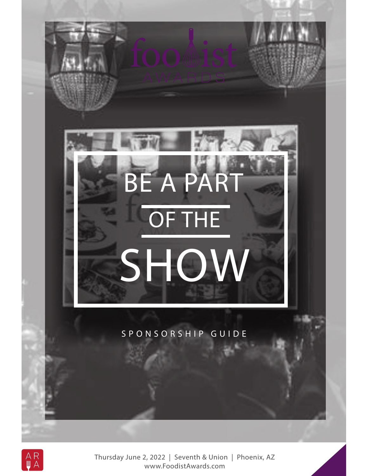



Thursday June 2, 2022 | Seventh & Union | Phoenix, AZ www.FoodistAwards.com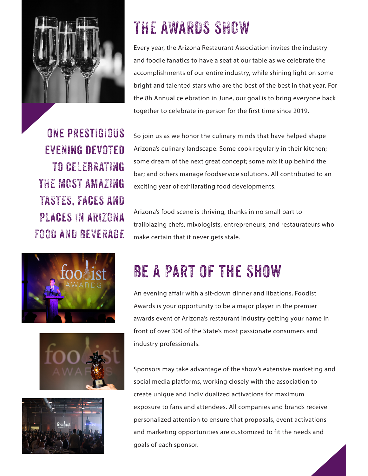

# THE AWARDS SHOW

Every year, the Arizona Restaurant Association invites the industry and foodie fanatics to have a seat at our table as we celebrate the accomplishments of our entire industry, while shining light on some bright and talented stars who are the best of the best in that year. For the 8h Annual celebration in June, our goal is to bring everyone back together to celebrate in-person for the first time since 2019.

ONE PRESTIGIOUS evening devoted to CELEBRATING THE MOST AMAZING TASTES, FACES AND PLACES IN ARIZONA FOOD AND BEVERAGE







So join us as we honor the culinary minds that have helped shape Arizona's culinary landscape. Some cook regularly in their kitchen; some dream of the next great concept; some mix it up behind the bar; and others manage foodservice solutions. All contributed to an exciting year of exhilarating food developments.

Arizona's food scene is thriving, thanks in no small part to trailblazing chefs, mixologists, entrepreneurs, and restaurateurs who make certain that it never gets stale.

# Be A Part of the Show

An evening affair with a sit-down dinner and libations, Foodist Awards is your opportunity to be a major player in the premier awards event of Arizona's restaurant industry getting your name in front of over 300 of the State's most passionate consumers and industry professionals.

Sponsors may take advantage of the show's extensive marketing and social media platforms, working closely with the association to create unique and individualized activations for maximum exposure to fans and attendees. All companies and brands receive personalized attention to ensure that proposals, event activations and marketing opportunities are customized to fit the needs and goals of each sponsor.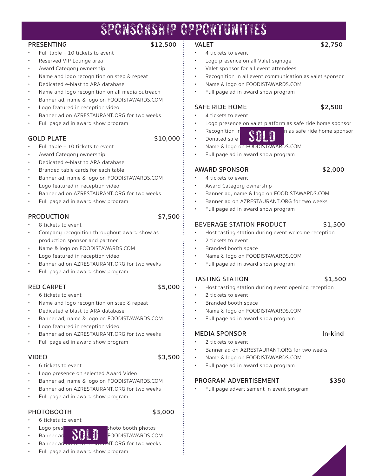## SPONSORSHIP OPPORTUNITIES

#### **PRESENTING \$12,500**

- Full table 10 tickets to event
- Reserved VIP Lounge area
- Award Category ownership
- Name and logo recognition on step & repeat
- Dedicated e-blast to ARA database
- Name and logo recognition on all media outreach
- Banner ad, name & logo on FOODISTAWARDS.COM
- Logo featured in reception video
- Banner ad on AZRESTAURANT.ORG for two weeks
- Full page ad in award show program

## **GOLD PLATE \$10,000**

- Full table 10 tickets to event
- Award Category ownership
- Dedicated e-blast to ARA database
- Branded table cards for each table
- Banner ad, name & logo on FOODISTAWARDS.COM
- Logo featured in reception video
- Banner ad on AZRESTAURANT.ORG for two weeks
- Full page ad in award show program

### **PRODUCTION \$7,500**

- 8 tickets to event
- Company recognition throughout award show as production sponsor and partner
- Name & logo on FOODISTAWARDS.COM
- Logo featured in reception video
- Banner ad on AZRESTAURANT.ORG for two weeks
- Full page ad in award show program

#### **RED CARPET** \$5,000

- 6 tickets to event
- Name and logo recognition on step & repeat
- Dedicated e-blast to ARA database
- Banner ad, name & logo on FOODISTAWARDS.COM
- Logo featured in reception video
- Banner ad on AZRESTAURANT.ORG for two weeks
- Full page ad in award show program

#### **VIDEO** \$3,500 \$

- 6 tickets to event
- Logo presence on selected Award Video
- Banner ad, name & logo on FOODISTAWARDS.COM
- Banner ad on AZRESTAURANT.ORG for two weeks
- Full page ad in award show program

### **PHOTOBOOTH \$3,000**

- 6 tickets to event
- 
- Logo presence  $\alpha$  all  $\alpha$  bhoto booth photos Banner ad **NAME & FOODISTAWARDS.COM** sold
	- Banner ad on AzRESTAURANT.ORG for two weeks
- Full page ad in award show program
- **VALET \$2,750**
	- 4 tickets to event
- Logo presence on all Valet signage
- Valet sponsor for all event attendees
- Recognition in all event communication as valet sponsor
- Name & logo on FOODISTAWARDS.COM
- Full page ad in award show program

### **SAFE RIDE HOME \$2,500**

- 4 tickets to event
- Logo presence on valet platform as safe ride home sponsor
- 
- Donated safe
- Name & logo on FOODISTAWARDS.COM
- Full page ad in award show program

#### **AWARD SPONSOR \$2,000**

- 4 tickets to event
- Award Category ownership
- Banner ad, name & logo on FOODISTAWARDS.COM
- Banner ad on AZRESTAURANT.ORG for two weeks
- Full page ad in award show program

#### BEVERAGE STATION PRODUCT **\$1,500**

- Host tasting station during event welcome reception
- 2 tickets to event sold
	- Branded booth space
	- Name & logo on FOODISTAWARDS.COM
	- Full page ad in award show program

#### **TASTING STATION \$1,500**

- Host tasting station during event opening reception
- 2 tickets to event
- Branded booth space
- Name & logo on FOODISTAWARDS.COM
- Full page ad in award show program

#### **MEDIA SPONSOR In-kind**

- 2 tickets to event
- Banner ad on AZRESTAURANT.ORG for two weeks
- Name & logo on FOODISTAWARDS.COM
- Full page ad in award show program

#### PROGRAM ADVERTISEMENT \$350

• Full page advertisement in event program



- Recognition in  $\mathbb{R}$   $\mathbb{R}$   $\mathbb{R}$  as safe ride home sponsor
- SOL
- 
- 

- 
- -
	-
-